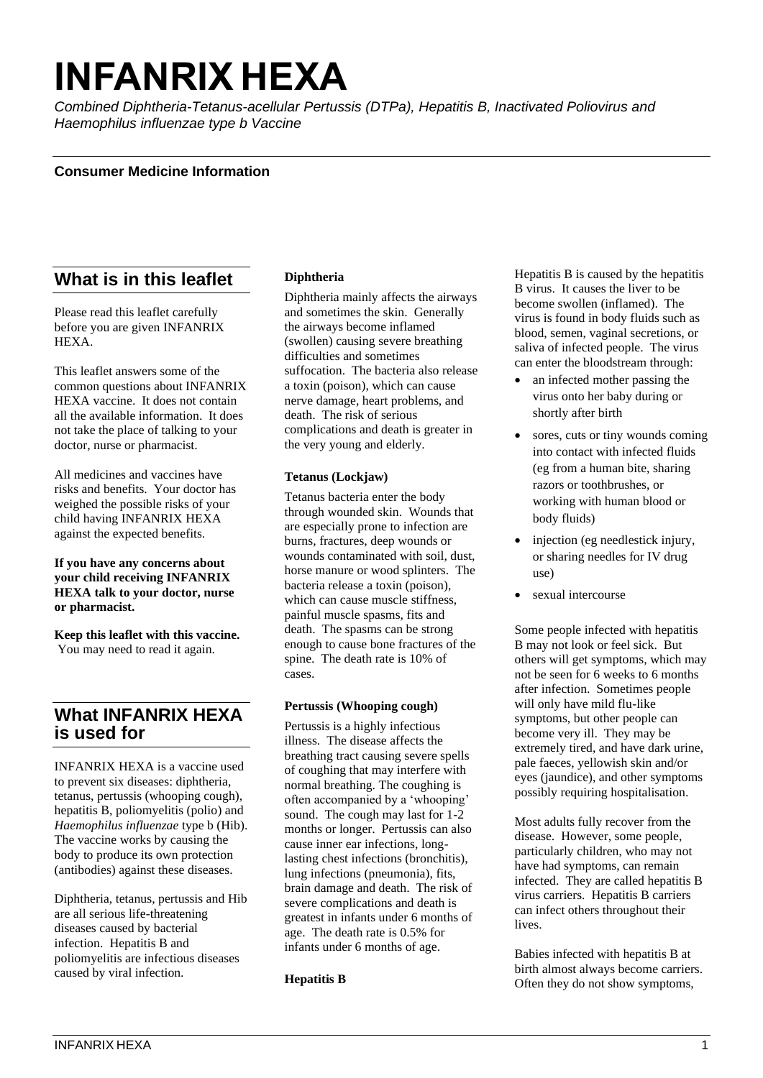# **INFANRIX HEXA**

*Combined Diphtheria-Tetanus-acellular Pertussis (DTPa), Hepatitis B, Inactivated Poliovirus and Haemophilus influenzae type b Vaccine*

## **Consumer Medicine Information**

# **What is in this leaflet**

Please read this leaflet carefully before you are given INFANRIX HEXA.

This leaflet answers some of the common questions about INFANRIX HEXA vaccine. It does not contain all the available information. It does not take the place of talking to your doctor, nurse or pharmacist.

All medicines and vaccines have risks and benefits. Your doctor has weighed the possible risks of your child having INFANRIX HEXA against the expected benefits.

**If you have any concerns about your child receiving INFANRIX HEXA talk to your doctor, nurse or pharmacist.**

**Keep this leaflet with this vaccine.**  You may need to read it again.

# **What INFANRIX HEXA is used for**

INFANRIX HEXA is a vaccine used to prevent six diseases: diphtheria, tetanus, pertussis (whooping cough), hepatitis B, poliomyelitis (polio) and *Haemophilus influenzae* type b (Hib). The vaccine works by causing the body to produce its own protection (antibodies) against these diseases.

Diphtheria, tetanus, pertussis and Hib are all serious life-threatening diseases caused by bacterial infection. Hepatitis B and poliomyelitis are infectious diseases caused by viral infection.

## **Diphtheria**

Diphtheria mainly affects the airways and sometimes the skin. Generally the airways become inflamed (swollen) causing severe breathing difficulties and sometimes suffocation. The bacteria also release a toxin (poison), which can cause nerve damage, heart problems, and death. The risk of serious complications and death is greater in the very young and elderly.

#### **Tetanus (Lockjaw)**

Tetanus bacteria enter the body through wounded skin. Wounds that are especially prone to infection are burns, fractures, deep wounds or wounds contaminated with soil, dust, horse manure or wood splinters. The bacteria release a toxin (poison), which can cause muscle stiffness, painful muscle spasms, fits and death. The spasms can be strong enough to cause bone fractures of the spine. The death rate is 10% of cases.

#### **Pertussis (Whooping cough)**

Pertussis is a highly infectious illness. The disease affects the breathing tract causing severe spells of coughing that may interfere with normal breathing. The coughing is often accompanied by a 'whooping' sound. The cough may last for 1-2 months or longer. Pertussis can also cause inner ear infections, longlasting chest infections (bronchitis), lung infections (pneumonia), fits, brain damage and death. The risk of severe complications and death is greatest in infants under 6 months of age. The death rate is 0.5% for infants under 6 months of age.

**Hepatitis B**

Hepatitis B is caused by the hepatitis B virus. It causes the liver to be become swollen (inflamed). The virus is found in body fluids such as blood, semen, vaginal secretions, or saliva of infected people. The virus can enter the bloodstream through:

- an infected mother passing the virus onto her baby during or shortly after birth
- sores, cuts or tiny wounds coming into contact with infected fluids (eg from a human bite, sharing razors or toothbrushes, or working with human blood or body fluids)
- injection (eg needlestick injury, or sharing needles for IV drug use)
- sexual intercourse

Some people infected with hepatitis B may not look or feel sick. But others will get symptoms, which may not be seen for 6 weeks to 6 months after infection. Sometimes people will only have mild flu-like symptoms, but other people can become very ill. They may be extremely tired, and have dark urine, pale faeces, yellowish skin and/or eyes (jaundice), and other symptoms possibly requiring hospitalisation.

Most adults fully recover from the disease. However, some people, particularly children, who may not have had symptoms, can remain infected. They are called hepatitis B virus carriers. Hepatitis B carriers can infect others throughout their lives.

Babies infected with hepatitis B at birth almost always become carriers. Often they do not show symptoms,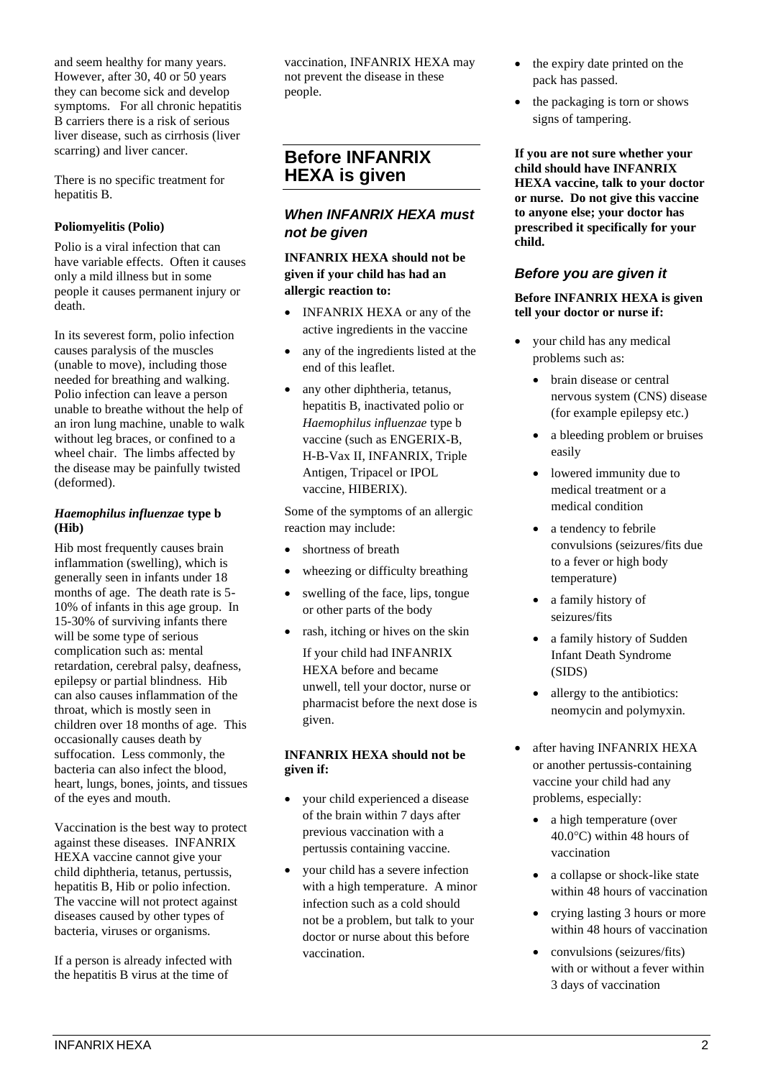and seem healthy for many years. However, after 30, 40 or 50 years they can become sick and develop symptoms. For all chronic hepatitis B carriers there is a risk of serious liver disease, such as cirrhosis (liver scarring) and liver cancer.

There is no specific treatment for hepatitis B.

## **Poliomyelitis (Polio)**

Polio is a viral infection that can have variable effects. Often it causes only a mild illness but in some people it causes permanent injury or death.

In its severest form, polio infection causes paralysis of the muscles (unable to move), including those needed for breathing and walking. Polio infection can leave a person unable to breathe without the help of an iron lung machine, unable to walk without leg braces, or confined to a wheel chair. The limbs affected by the disease may be painfully twisted (deformed).

#### *Haemophilus influenzae* **type b (Hib)**

Hib most frequently causes brain inflammation (swelling), which is generally seen in infants under 18 months of age. The death rate is 5- 10% of infants in this age group. In 15-30% of surviving infants there will be some type of serious complication such as: mental retardation, cerebral palsy, deafness, epilepsy or partial blindness. Hib can also causes inflammation of the throat, which is mostly seen in children over 18 months of age. This occasionally causes death by suffocation. Less commonly, the bacteria can also infect the blood, heart, lungs, bones, joints, and tissues of the eyes and mouth.

Vaccination is the best way to protect against these diseases. INFANRIX HEXA vaccine cannot give your child diphtheria, tetanus, pertussis, hepatitis B, Hib or polio infection. The vaccine will not protect against diseases caused by other types of bacteria, viruses or organisms.

If a person is already infected with the hepatitis B virus at the time of

vaccination, INFANRIX HEXA may not prevent the disease in these people.

# **Before INFANRIX HEXA is given**

# *When INFANRIX HEXA must not be given*

**INFANRIX HEXA should not be given if your child has had an allergic reaction to:** 

- **INFANRIX HEXA** or any of the active ingredients in the vaccine
- any of the ingredients listed at the end of this leaflet.
- any other diphtheria, tetanus, hepatitis B, inactivated polio or *Haemophilus influenzae* type b vaccine (such as ENGERIX-B, H-B-Vax II, INFANRIX, Triple Antigen, Tripacel or IPOL vaccine, HIBERIX).

Some of the symptoms of an allergic reaction may include:

- shortness of breath
- wheezing or difficulty breathing
- swelling of the face, lips, tongue or other parts of the body
- rash, itching or hives on the skin If your child had INFANRIX HEXA before and became unwell, tell your doctor, nurse or pharmacist before the next dose is given.

#### **INFANRIX HEXA should not be given if:**

- your child experienced a disease of the brain within 7 days after previous vaccination with a pertussis containing vaccine.
- your child has a severe infection with a high temperature. A minor infection such as a cold should not be a problem, but talk to your doctor or nurse about this before vaccination.
- the expiry date printed on the pack has passed.
- the packaging is torn or shows signs of tampering.

**If you are not sure whether your child should have INFANRIX HEXA vaccine, talk to your doctor or nurse. Do not give this vaccine to anyone else; your doctor has prescribed it specifically for your child.**

## *Before you are given it*

**Before INFANRIX HEXA is given tell your doctor or nurse if:**

- your child has any medical problems such as:
	- brain disease or central nervous system (CNS) disease (for example epilepsy etc.)
	- a bleeding problem or bruises easily
	- lowered immunity due to medical treatment or a medical condition
	- a tendency to febrile convulsions (seizures/fits due to a fever or high body temperature)
	- a family history of seizures/fits
	- a family history of Sudden Infant Death Syndrome (SIDS)
	- allergy to the antibiotics: neomycin and polymyxin.
- after having INFANRIX HEXA or another pertussis-containing vaccine your child had any problems, especially:
	- a high temperature (over  $40.0^{\circ}$ C) within 48 hours of vaccination
	- a collapse or shock-like state within 48 hours of vaccination
	- crying lasting 3 hours or more within 48 hours of vaccination
	- convulsions (seizures/fits) with or without a fever within 3 days of vaccination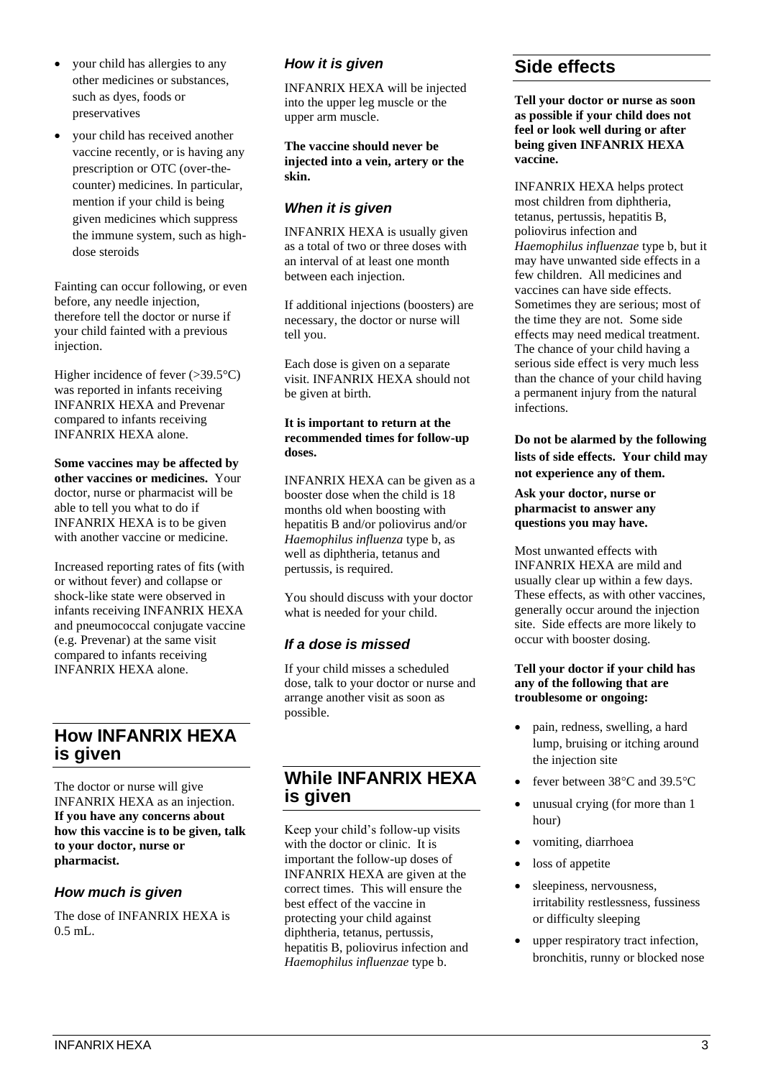- your child has allergies to any other medicines or substances, such as dyes, foods or preservatives
- your child has received another vaccine recently, or is having any prescription or OTC (over-thecounter) medicines. In particular, mention if your child is being given medicines which suppress the immune system, such as highdose steroids

Fainting can occur following, or even before, any needle injection, therefore tell the doctor or nurse if your child fainted with a previous injection.

Higher incidence of fever  $(>39.5^{\circ}C)$ was reported in infants receiving INFANRIX HEXA and Prevenar compared to infants receiving INFANRIX HEXA alone.

**Some vaccines may be affected by other vaccines or medicines.** Your doctor, nurse or pharmacist will be able to tell you what to do if INFANRIX HEXA is to be given with another vaccine or medicine.

Increased reporting rates of fits (with or without fever) and collapse or shock-like state were observed in infants receiving INFANRIX HEXA and pneumococcal conjugate vaccine (e.g. Prevenar) at the same visit compared to infants receiving INFANRIX HEXA alone.

# **How INFANRIX HEXA is given**

The doctor or nurse will give INFANRIX HEXA as an injection. **If you have any concerns about how this vaccine is to be given, talk to your doctor, nurse or pharmacist.**

# *How much is given*

The dose of INFANRIX HEXA is 0.5 mL.

## *How it is given*

INFANRIX HEXA will be injected into the upper leg muscle or the upper arm muscle.

**The vaccine should never be injected into a vein, artery or the skin.**

## *When it is given*

INFANRIX HEXA is usually given as a total of two or three doses with an interval of at least one month between each injection.

If additional injections (boosters) are necessary, the doctor or nurse will tell you.

Each dose is given on a separate visit. INFANRIX HEXA should not be given at birth.

#### **It is important to return at the recommended times for follow-up doses.**

INFANRIX HEXA can be given as a booster dose when the child is 18 months old when boosting with hepatitis B and/or poliovirus and/or *Haemophilus influenza* type b, as well as diphtheria, tetanus and pertussis, is required.

You should discuss with your doctor what is needed for your child.

# *If a dose is missed*

If your child misses a scheduled dose, talk to your doctor or nurse and arrange another visit as soon as possible.

# **While INFANRIX HEXA is given**

Keep your child's follow-up visits with the doctor or clinic. It is important the follow-up doses of INFANRIX HEXA are given at the correct times. This will ensure the best effect of the vaccine in protecting your child against diphtheria, tetanus, pertussis, hepatitis B, poliovirus infection and *Haemophilus influenzae* type b.

# **Side effects**

**Tell your doctor or nurse as soon as possible if your child does not feel or look well during or after being given INFANRIX HEXA vaccine.**

INFANRIX HEXA helps protect most children from diphtheria, tetanus, pertussis, hepatitis B, poliovirus infection and *Haemophilus influenzae* type b, but it may have unwanted side effects in a few children. All medicines and vaccines can have side effects. Sometimes they are serious; most of the time they are not. Some side effects may need medical treatment. The chance of your child having a serious side effect is very much less than the chance of your child having a permanent injury from the natural infections.

**Do not be alarmed by the following lists of side effects. Your child may not experience any of them.** 

**Ask your doctor, nurse or pharmacist to answer any questions you may have.**

Most unwanted effects with INFANRIX HEXA are mild and usually clear up within a few days. These effects, as with other vaccines, generally occur around the injection site. Side effects are more likely to occur with booster dosing.

#### **Tell your doctor if your child has any of the following that are troublesome or ongoing:**

- pain, redness, swelling, a hard lump, bruising or itching around the injection site
- fever between  $38^{\circ}$ C and  $39.5^{\circ}$ C
- unusual crying (for more than 1 hour)
- vomiting, diarrhoea
- loss of appetite
- sleepiness, nervousness, irritability restlessness, fussiness or difficulty sleeping
- upper respiratory tract infection, bronchitis, runny or blocked nose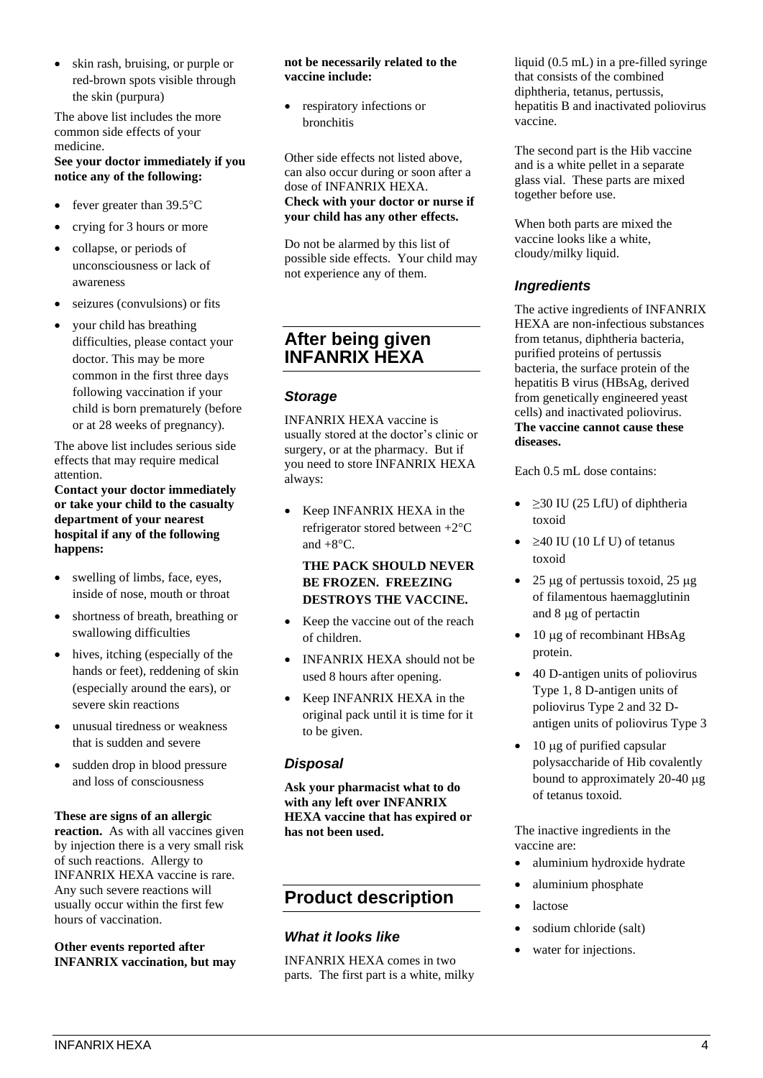• skin rash, bruising, or purple or red-brown spots visible through the skin (purpura)

The above list includes the more common side effects of your medicine.

## **See your doctor immediately if you notice any of the following:**

- fever greater than  $39.5^{\circ}$ C
- crying for 3 hours or more • collapse, or periods of
- unconsciousness or lack of awareness
- seizures (convulsions) or fits
- your child has breathing difficulties, please contact your doctor. This may be more common in the first three days following vaccination if your child is born prematurely (before or at 28 weeks of pregnancy).

The above list includes serious side effects that may require medical attention.

**Contact your doctor immediately or take your child to the casualty department of your nearest hospital if any of the following happens:**

- swelling of limbs, face, eyes, inside of nose, mouth or throat
- shortness of breath, breathing or swallowing difficulties
- hives, itching (especially of the hands or feet), reddening of skin (especially around the ears), or severe skin reactions
- unusual tiredness or weakness that is sudden and severe
- sudden drop in blood pressure and loss of consciousness

#### **These are signs of an allergic**

**reaction.** As with all vaccines given by injection there is a very small risk of such reactions. Allergy to INFANRIX HEXA vaccine is rare. Any such severe reactions will usually occur within the first few hours of vaccination.

#### **Other events reported after INFANRIX vaccination, but may**

#### **not be necessarily related to the vaccine include:**

respiratory infections or bronchitis

Other side effects not listed above, can also occur during or soon after a dose of INFANRIX HEXA. **Check with your doctor or nurse if your child has any other effects.**

Do not be alarmed by this list of possible side effects. Your child may not experience any of them.

# **After being given INFANRIX HEXA**

## *Storage*

INFANRIX HEXA vaccine is usually stored at the doctor's clinic or surgery, or at the pharmacy. But if you need to store INFANRIX HEXA always:

• Keep INFANRIX HEXA in the refrigerator stored between  $+2$ <sup>o</sup>C and  $+8$ °C.

## **THE PACK SHOULD NEVER BE FROZEN. FREEZING DESTROYS THE VACCINE.**

- Keep the vaccine out of the reach of children.
- INFANRIX HEXA should not be used 8 hours after opening.
- Keep INFANRIX HEXA in the original pack until it is time for it to be given.

## *Disposal*

**Ask your pharmacist what to do with any left over INFANRIX HEXA vaccine that has expired or has not been used.**

# **Product description**

## *What it looks like*

INFANRIX HEXA comes in two parts. The first part is a white, milky liquid (0.5 mL) in a pre-filled syringe that consists of the combined diphtheria, tetanus, pertussis, hepatitis B and inactivated poliovirus vaccine.

The second part is the Hib vaccine and is a white pellet in a separate glass vial. These parts are mixed together before use.

When both parts are mixed the vaccine looks like a white, cloudy/milky liquid.

## *Ingredients*

The active ingredients of INFANRIX HEXA are non-infectious substances from tetanus, diphtheria bacteria, purified proteins of pertussis bacteria, the surface protein of the hepatitis B virus (HBsAg, derived from genetically engineered yeast cells) and inactivated poliovirus. **The vaccine cannot cause these diseases.**

Each 0.5 mL dose contains:

- $\geq$  20 IU (25 LfU) of diphtheria toxoid
- $\geq$  40 IU (10 Lf U) of tetanus toxoid
- 25  $\mu$ g of pertussis toxoid, 25  $\mu$ g of filamentous haemagglutinin and  $8 \mu g$  of pertactin
- $\bullet$  10 µg of recombinant HBsAg protein.
- 40 D-antigen units of poliovirus Type 1, 8 D-antigen units of poliovirus Type 2 and 32 Dantigen units of poliovirus Type 3
- $\bullet$  10 µg of purified capsular polysaccharide of Hib covalently bound to approximately  $20-40 \mu$ g of tetanus toxoid.

The inactive ingredients in the vaccine are:

- aluminium hydroxide hydrate
- aluminium phosphate
- lactose
- sodium chloride (salt)
- water for injections.